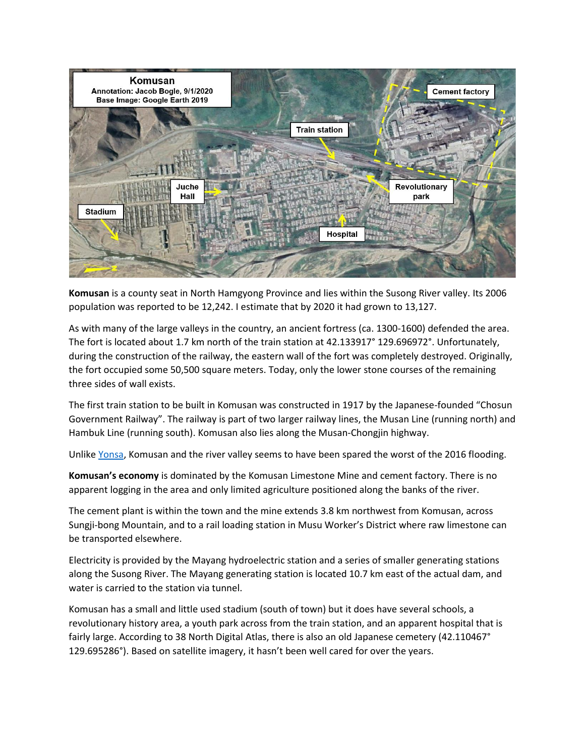

**Komusan** is a county seat in North Hamgyong Province and lies within the Susong River valley. Its 2006 population was reported to be 12,242. I estimate that by 2020 it had grown to 13,127.

As with many of the large valleys in the country, an ancient fortress (ca. 1300-1600) defended the area. The fort is located about 1.7 km north of the train station at 42.133917° 129.696972°. Unfortunately, during the construction of the railway, the eastern wall of the fort was completely destroyed. Originally, the fort occupied some 50,500 square meters. Today, only the lower stone courses of the remaining three sides of wall exists.

The first train station to be built in Komusan was constructed in 1917 by the Japanese-founded "Chosun Government Railway". The railway is part of two larger railway lines, the Musan Line (running north) and Hambuk Line (running south). Komusan also lies along the Musan-Chongjin highway.

Unlike [Yonsa,](http://nebula.wsimg.com/1b1d21a6e90ec4fd118819c1869a77f0?AccessKeyId=F7D232D8D9377026C435&disposition=0&alloworigin=1) Komusan and the river valley seems to have been spared the worst of the 2016 flooding.

**Komusan's economy** is dominated by the Komusan Limestone Mine and cement factory. There is no apparent logging in the area and only limited agriculture positioned along the banks of the river.

The cement plant is within the town and the mine extends 3.8 km northwest from Komusan, across Sungji-bong Mountain, and to a rail loading station in Musu Worker's District where raw limestone can be transported elsewhere.

Electricity is provided by the Mayang hydroelectric station and a series of smaller generating stations along the Susong River. The Mayang generating station is located 10.7 km east of the actual dam, and water is carried to the station via tunnel.

Komusan has a small and little used stadium (south of town) but it does have several schools, a revolutionary history area, a youth park across from the train station, and an apparent hospital that is fairly large. According to 38 North Digital Atlas, there is also an old Japanese cemetery (42.110467° 129.695286°). Based on satellite imagery, it hasn't been well cared for over the years.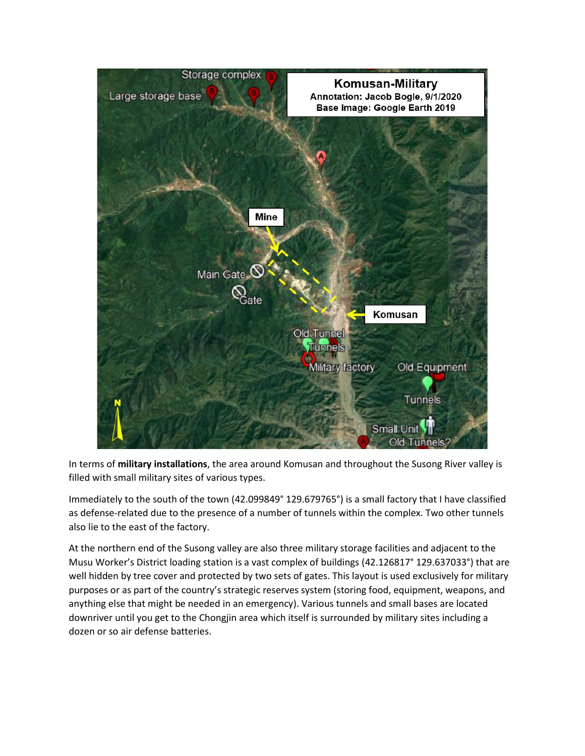

In terms of **military installations**, the area around Komusan and throughout the Susong River valley is filled with small military sites of various types.

Immediately to the south of the town (42.099849° 129.679765°) is a small factory that I have classified as defense-related due to the presence of a number of tunnels within the complex. Two other tunnels also lie to the east of the factory.

At the northern end of the Susong valley are also three military storage facilities and adjacent to the Musu Worker's District loading station is a vast complex of buildings (42.126817° 129.637033°) that are well hidden by tree cover and protected by two sets of gates. This layout is used exclusively for military purposes or as part of the country's strategic reserves system (storing food, equipment, weapons, and anything else that might be needed in an emergency). Various tunnels and small bases are located downriver until you get to the Chongjin area which itself is surrounded by military sites including a dozen or so air defense batteries.